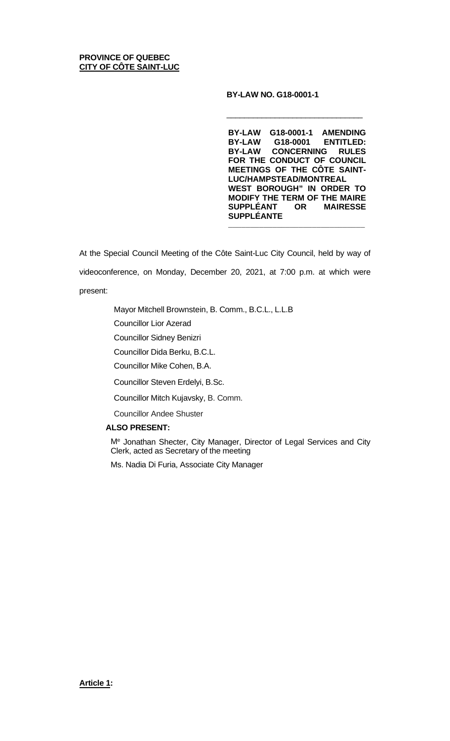#### **BY-LAW NO. G18-0001-1**

 $\overline{\phantom{a}}$  , and the contract of the contract of the contract of the contract of the contract of the contract of the contract of the contract of the contract of the contract of the contract of the contract of the contrac

**BY-LAW G18-0001-1 AMENDING BY-LAW G18-0001 ENTITLED: BY-LAW CONCERNING RULES FOR THE CONDUCT OF COUNCIL MEETINGS OF THE CÔTE SAINT-LUC/HAMPSTEAD/MONTREAL WEST BOROUGH" IN ORDER TO MODIFY THE TERM OF THE MAIRE SUPPLÉANT OR MAIRESSE SUPPLÉANTE**

\_\_\_\_\_\_\_\_\_\_\_\_\_\_\_\_\_\_\_\_\_\_\_\_\_\_\_\_\_\_\_

At the Special Council Meeting of the Côte Saint-Luc City Council, held by way of videoconference, on Monday, December 20, 2021, at 7:00 p.m. at which were present:

Mayor Mitchell Brownstein, B. Comm., B.C.L., L.L.B

Councillor Lior Azerad

Councillor Sidney Benizri

Councillor Dida Berku, B.C.L.

Councillor Mike Cohen, B.A.

Councillor Steven Erdelyi, B.Sc.

Councillor Mitch Kujavsky, B. Comm.

Councillor Andee Shuster

### **ALSO PRESENT:**

Me Jonathan Shecter, City Manager, Director of Legal Services and City Clerk, acted as Secretary of the meeting

Ms. Nadia Di Furia, Associate City Manager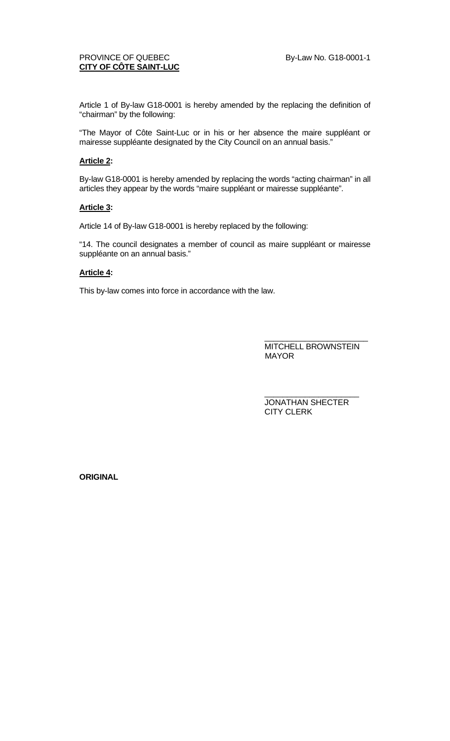# PROVINCE OF QUEBEC By-Law No. G18-0001-1 **CITY OF CÔTE SAINT-LUC**

Article 1 of By-law G18-0001 is hereby amended by the replacing the definition of "chairman" by the following:

"The Mayor of Côte Saint-Luc or in his or her absence the maire suppléant or mairesse suppléante designated by the City Council on an annual basis."

## **Article 2:**

By-law G18-0001 is hereby amended by replacing the words "acting chairman" in all articles they appear by the words "maire suppléant or mairesse suppléante".

### **Article 3:**

Article 14 of By-law G18-0001 is hereby replaced by the following:

"14. The council designates a member of council as maire suppléant or mairesse suppléante on an annual basis."

## **Article 4:**

This by-law comes into force in accordance with the law.

\_\_\_\_\_\_\_\_\_\_\_\_\_\_\_\_\_\_\_\_\_\_\_ MITCHELL BROWNSTEIN MAYOR

\_\_\_\_\_\_\_\_\_\_\_\_\_\_\_\_\_\_\_\_\_ JONATHAN SHECTER CITY CLERK

**ORIGINAL**